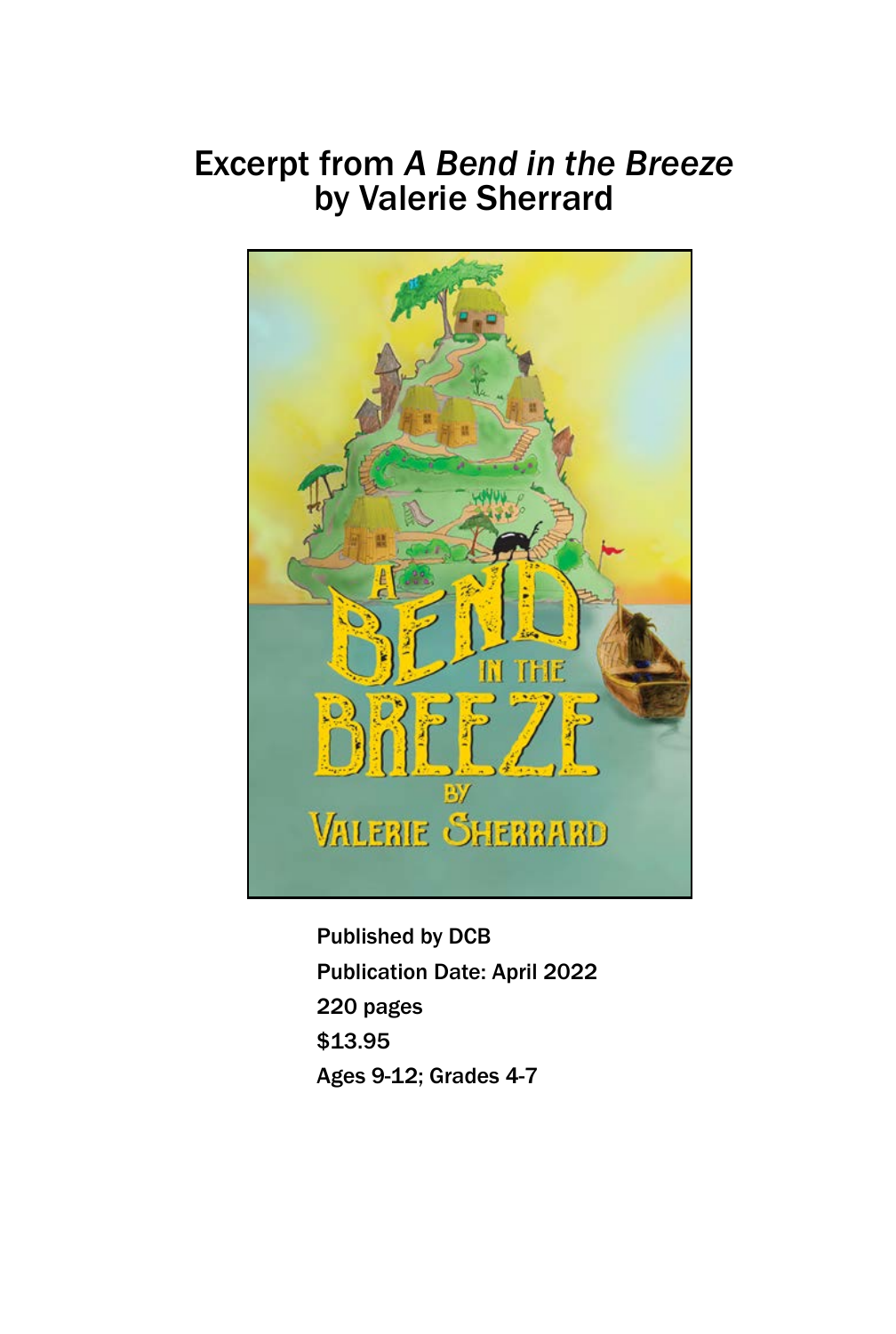## Excerpt from *A Bend in the Breeze* by Valerie Sherrard



Published by DCB Publication Date: April 2022 220 pages \$13.95 Ages 9-12; Grades 4-7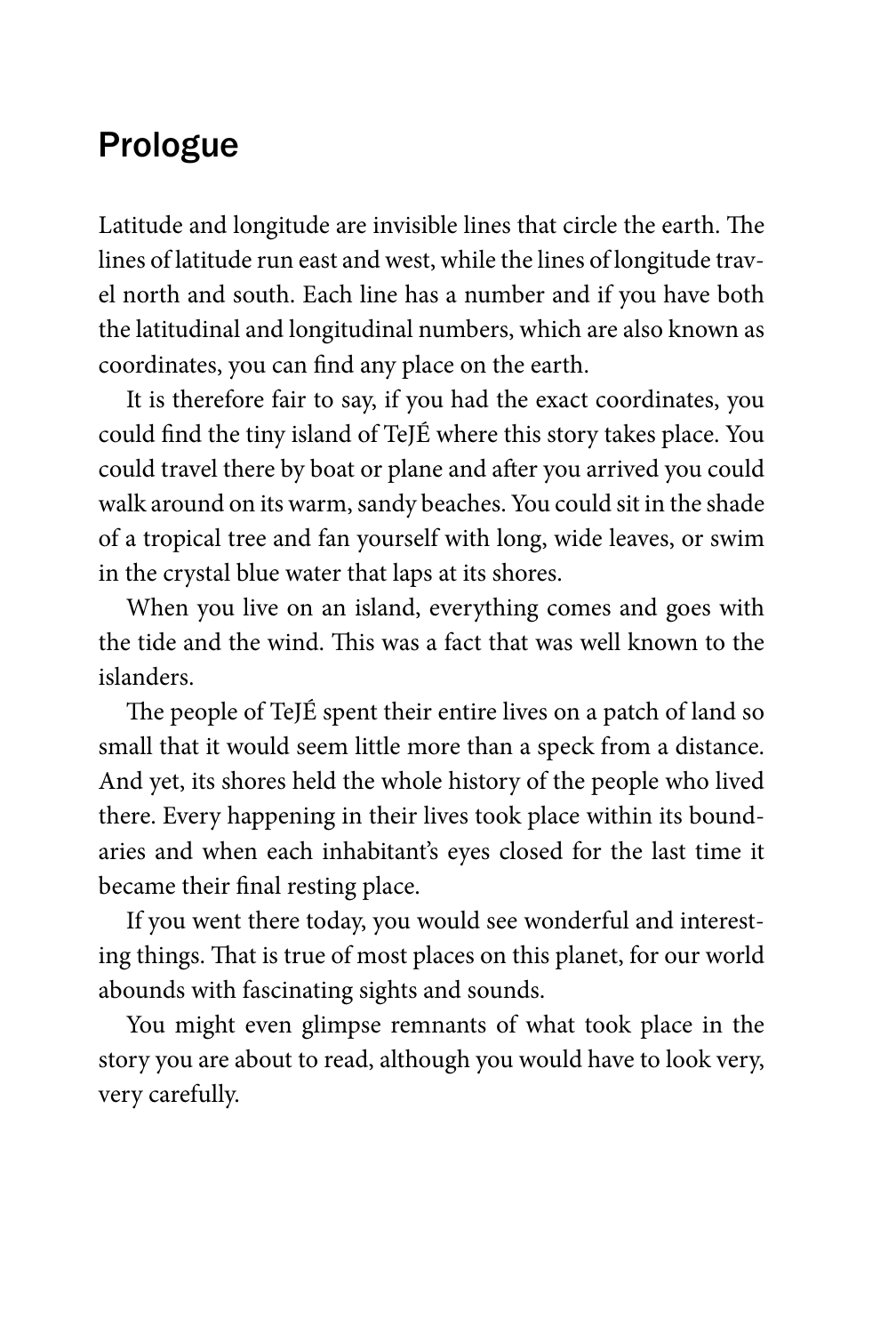## Prologue

Latitude and longitude are invisible lines that circle the earth. The lines of latitude run east and west, while the lines of longitude travel north and south. Each line has a number and if you have both the latitudinal and longitudinal numbers, which are also known as coordinates, you can find any place on the earth.

It is therefore fair to say, if you had the exact coordinates, you could find the tiny island of TeJÉ where this story takes place. You could travel there by boat or plane and after you arrived you could walk around on its warm, sandy beaches. You could sit in the shade of a tropical tree and fan yourself with long, wide leaves, or swim in the crystal blue water that laps at its shores.

When you live on an island, everything comes and goes with the tide and the wind. This was a fact that was well known to the islanders.

The people of TeJÉ spent their entire lives on a patch of land so small that it would seem little more than a speck from a distance. And yet, its shores held the whole history of the people who lived there. Every happening in their lives took place within its boundaries and when each inhabitant's eyes closed for the last time it became their final resting place.

If you went there today, you would see wonderful and interesting things. That is true of most places on this planet, for our world abounds with fascinating sights and sounds.

You might even glimpse remnants of what took place in the story you are about to read, although you would have to look very, very carefully.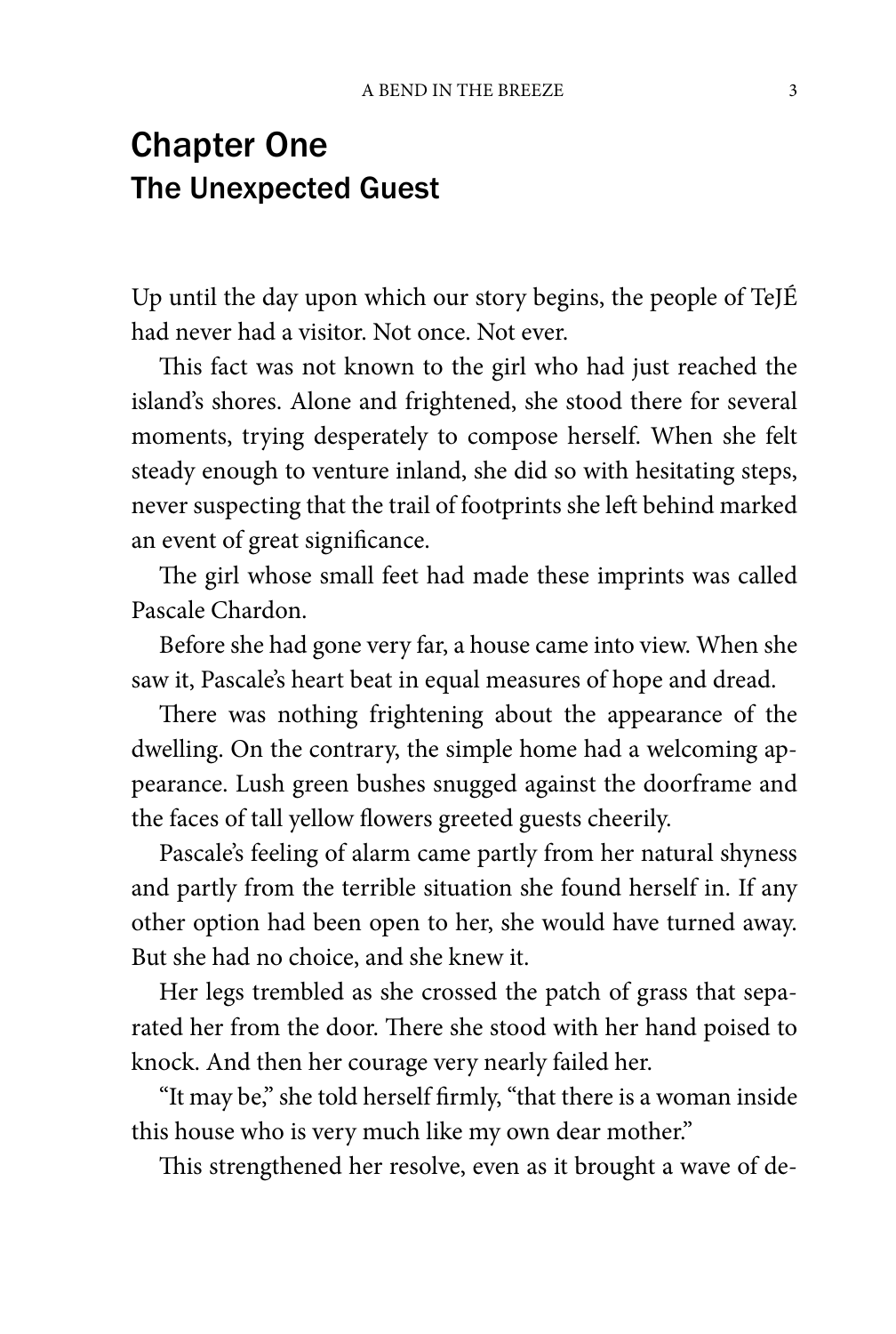## Chapter One The Unexpected Guest

Up until the day upon which our story begins, the people of TeJÉ had never had a visitor. Not once. Not ever.

This fact was not known to the girl who had just reached the island's shores. Alone and frightened, she stood there for several moments, trying desperately to compose herself. When she felt steady enough to venture inland, she did so with hesitating steps, never suspecting that the trail of footprints she left behind marked an event of great significance.

The girl whose small feet had made these imprints was called Pascale Chardon.

Before she had gone very far, a house came into view. When she saw it, Pascale's heart beat in equal measures of hope and dread.

There was nothing frightening about the appearance of the dwelling. On the contrary, the simple home had a welcoming appearance. Lush green bushes snugged against the doorframe and the faces of tall yellow flowers greeted guests cheerily.

Pascale's feeling of alarm came partly from her natural shyness and partly from the terrible situation she found herself in. If any other option had been open to her, she would have turned away. But she had no choice, and she knew it.

Her legs trembled as she crossed the patch of grass that separated her from the door. There she stood with her hand poised to knock. And then her courage very nearly failed her.

"It may be," she told herself firmly, "that there is a woman inside this house who is very much like my own dear mother."

This strengthened her resolve, even as it brought a wave of de-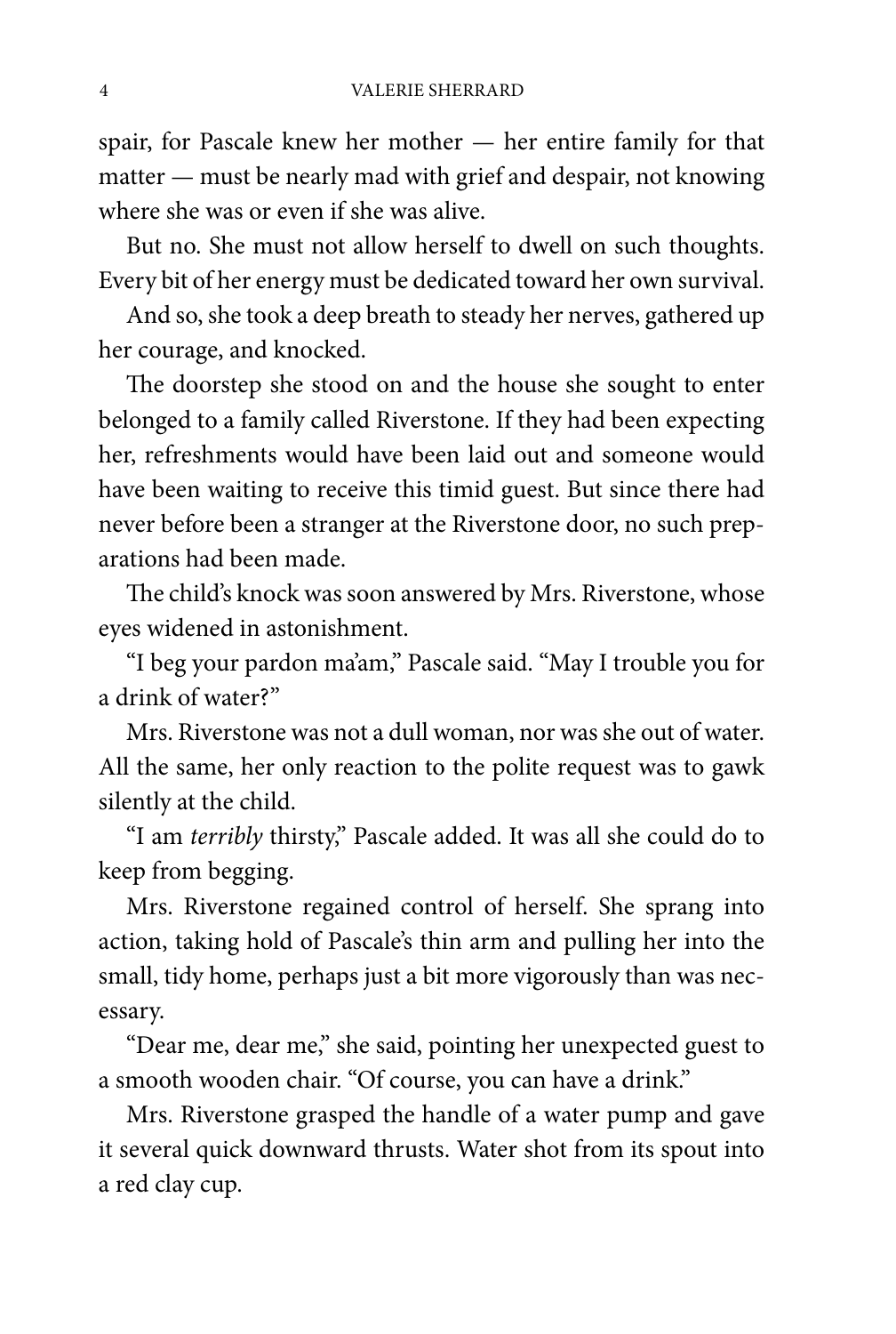spair, for Pascale knew her mother — her entire family for that matter — must be nearly mad with grief and despair, not knowing where she was or even if she was alive.

But no. She must not allow herself to dwell on such thoughts. Every bit of her energy must be dedicated toward her own survival.

And so, she took a deep breath to steady her nerves, gathered up her courage, and knocked.

The doorstep she stood on and the house she sought to enter belonged to a family called Riverstone. If they had been expecting her, refreshments would have been laid out and someone would have been waiting to receive this timid guest. But since there had never before been a stranger at the Riverstone door, no such preparations had been made.

The child's knock was soon answered by Mrs. Riverstone, whose eyes widened in astonishment.

"I beg your pardon ma'am," Pascale said. "May I trouble you for a drink of water?"

Mrs. Riverstone was not a dull woman, nor was she out of water. All the same, her only reaction to the polite request was to gawk silently at the child.

"I am *terribly* thirsty," Pascale added. It was all she could do to keep from begging.

Mrs. Riverstone regained control of herself. She sprang into action, taking hold of Pascale's thin arm and pulling her into the small, tidy home, perhaps just a bit more vigorously than was necessary.

"Dear me, dear me," she said, pointing her unexpected guest to a smooth wooden chair. "Of course, you can have a drink."

Mrs. Riverstone grasped the handle of a water pump and gave it several quick downward thrusts. Water shot from its spout into a red clay cup.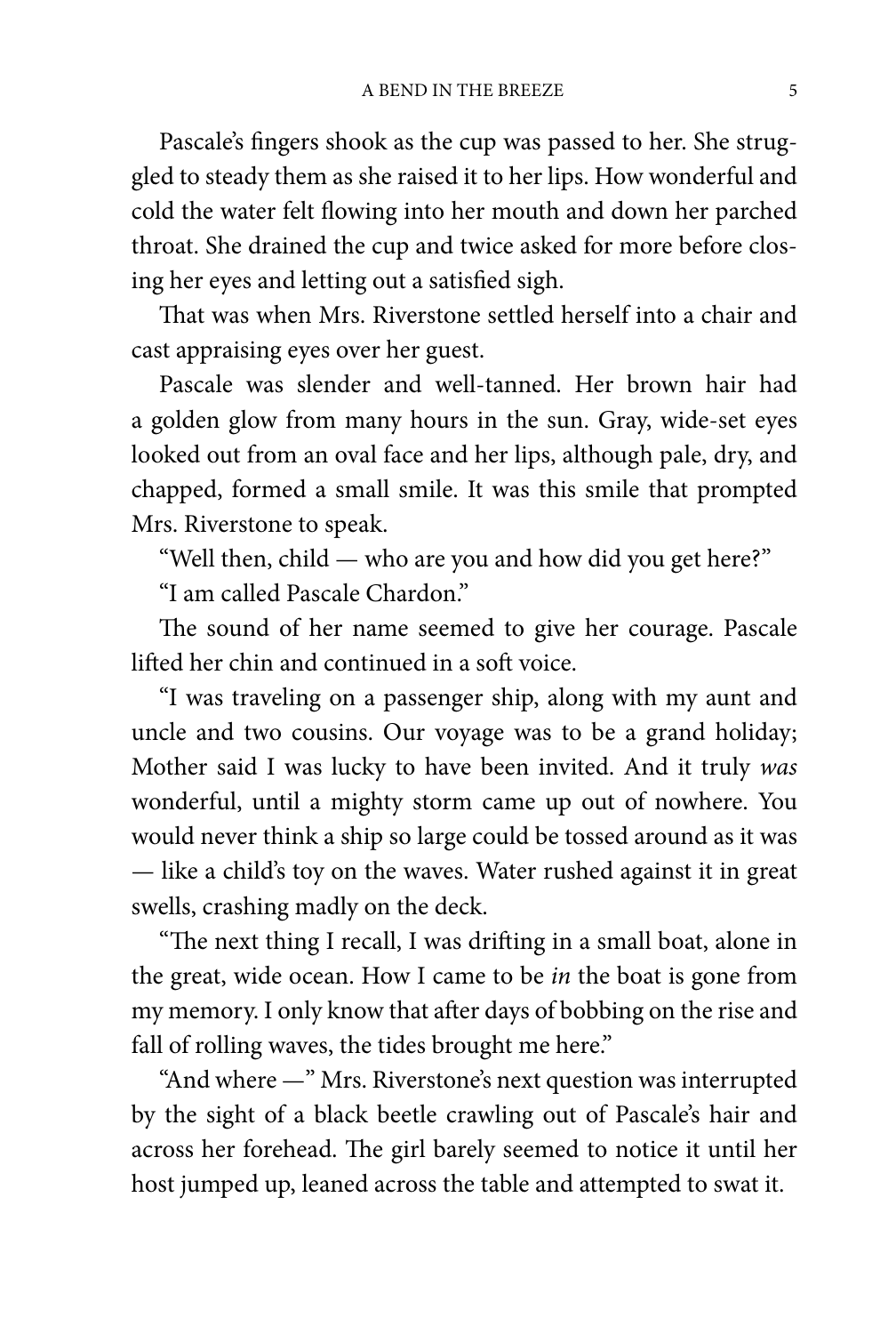Pascale's fingers shook as the cup was passed to her. She struggled to steady them as she raised it to her lips. How wonderful and cold the water felt flowing into her mouth and down her parched throat. She drained the cup and twice asked for more before closing her eyes and letting out a satisfied sigh.

That was when Mrs. Riverstone settled herself into a chair and cast appraising eyes over her guest.

Pascale was slender and well-tanned. Her brown hair had a golden glow from many hours in the sun. Gray, wide-set eyes looked out from an oval face and her lips, although pale, dry, and chapped, formed a small smile. It was this smile that prompted Mrs. Riverstone to speak.

"Well then, child — who are you and how did you get here?"

"I am called Pascale Chardon."

The sound of her name seemed to give her courage. Pascale lifted her chin and continued in a soft voice.

"I was traveling on a passenger ship, along with my aunt and uncle and two cousins. Our voyage was to be a grand holiday; Mother said I was lucky to have been invited. And it truly *was* wonderful, until a mighty storm came up out of nowhere. You would never think a ship so large could be tossed around as it was — like a child's toy on the waves. Water rushed against it in great swells, crashing madly on the deck.

"The next thing I recall, I was drifting in a small boat, alone in the great, wide ocean. How I came to be *in* the boat is gone from my memory. I only know that after days of bobbing on the rise and fall of rolling waves, the tides brought me here."

"And where —" Mrs. Riverstone's next question was interrupted by the sight of a black beetle crawling out of Pascale's hair and across her forehead. The girl barely seemed to notice it until her host jumped up, leaned across the table and attempted to swat it.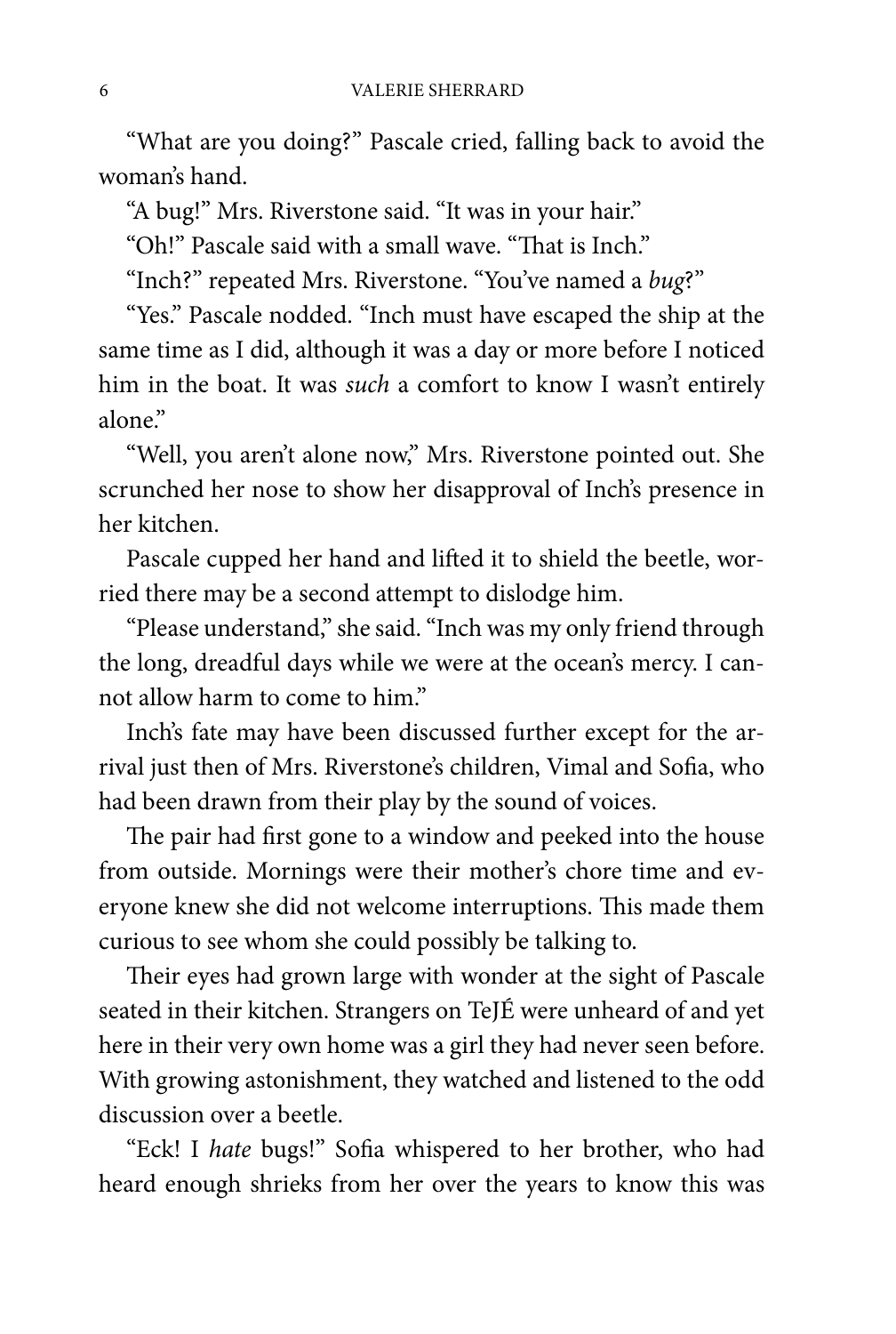"What are you doing?" Pascale cried, falling back to avoid the woman's hand.

"A bug!" Mrs. Riverstone said. "It was in your hair."

"Oh!" Pascale said with a small wave. "That is Inch."

"Inch?" repeated Mrs. Riverstone. "You've named a *bug*?"

"Yes." Pascale nodded. "Inch must have escaped the ship at the same time as I did, although it was a day or more before I noticed him in the boat. It was *such* a comfort to know I wasn't entirely alone"

"Well, you aren't alone now," Mrs. Riverstone pointed out. She scrunched her nose to show her disapproval of Inch's presence in her kitchen.

Pascale cupped her hand and lifted it to shield the beetle, worried there may be a second attempt to dislodge him.

"Please understand," she said. "Inch was my only friend through the long, dreadful days while we were at the ocean's mercy. I cannot allow harm to come to him."

Inch's fate may have been discussed further except for the arrival just then of Mrs. Riverstone's children, Vimal and Sofia, who had been drawn from their play by the sound of voices.

The pair had first gone to a window and peeked into the house from outside. Mornings were their mother's chore time and everyone knew she did not welcome interruptions. This made them curious to see whom she could possibly be talking to.

Their eyes had grown large with wonder at the sight of Pascale seated in their kitchen. Strangers on TeJÉ were unheard of and yet here in their very own home was a girl they had never seen before. With growing astonishment, they watched and listened to the odd discussion over a beetle.

"Eck! I *hate* bugs!" Sofia whispered to her brother, who had heard enough shrieks from her over the years to know this was